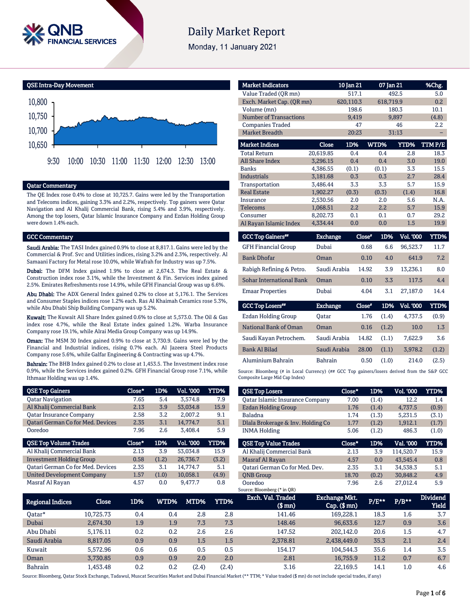

# **Daily Market Report**

Monday, 11 January 2021

QSE Intra-Day Movement 10,650 10,700 10,750 10,800 9:30 10:00 10:30 11:00 11:30 12:00 12:30 13:00

## Qatar Commentary

The QE Index rose 0.4% to close at 10,725.7. Gains were led by the Transportation and Telecoms indices, gaining 3.3% and 2.2%, respectively. Top gainers were Qatar Navigation and Al Khalij Commercial Bank, rising 5.4% and 3.9%, respectively. Among the top losers, Qatar Islamic Insurance Company and Ezdan Holding Group were down 1.4% each.

## GCC Commentary

Saudi Arabia: The TASI Index gained 0.9% to close at 8,817.1. Gains were led by the Commercial & Prof. Svc and Utilities indices, rising 3.2% and 2.3%, respectively. Al Samaani Factory for Metal rose 10.0%, while Wafrah for Industry was up 7.5%.

Dubai: The DFM Index gained 1.9% to close at 2,674.3. The Real Estate & Construction index rose 3.1%, while the Investment & Fin. Services index gained 2.5%. Emirates Refreshments rose 14.9%, while GFH Financial Group was up 6.6%.

Abu Dhabi: The ADX General Index gained 0.2% to close at 5,176.1. The Services and Consumer Staples indices rose 1.2% each. Ras Al Khaimah Ceramics rose 5.3%, while Abu Dhabi Ship Building Company was up 5.2%.

Kuwait: The Kuwait All Share Index gained 0.6% to close at 5,573.0. The Oil & Gas index rose 4.7%, while the Real Estate index gained 1.2%. Warba Insurance Company rose 19.1%, while Alrai Media Group Company was up 14.9%.

Oman: The MSM 30 Index gained 0.9% to close at 3,730.9. Gains were led by the Financial and Industrial indices, rising 0.7% each. Al Jazeera Steel Products Company rose 5.6%, while Galfar Engineering & Contracting was up 4.7%.

Bahrain: The BHB Index gained 0.2% to close at 1,453.5. The Investment index rose 0.9%, while the Services index gained 0.2%. GFH Financial Group rose 7.1%, while Ithmaar Holding was up 1.4%.

| <b>QSE Top Gainers</b>                   | Close* | 1D%   | Vol. '000 | <b>YTD%</b> |
|------------------------------------------|--------|-------|-----------|-------------|
| <b>Oatar Navigation</b>                  | 7.65   | 5.4   | 3,574.8   | 7.9         |
| Al Khalij Commercial Bank                | 2.13   | 3.9   | 53,034.8  | 15.9        |
| <b>Qatar Insurance Company</b>           | 2.58   | 3.2   | 2,007.2   | 9.1         |
| <b>Qatari German Co for Med. Devices</b> | 2.35   | 3.1   | 14,774.7  | 5.1         |
| Ooredoo                                  | 7.96   | 2.6   | 3,408.4   | 5.9         |
|                                          |        |       |           |             |
| <b>QSE Top Volume Trades</b>             | Close* | 1D%   | Vol. '000 | YTD%        |
| Al Khalij Commercial Bank                | 2.13   | 3.9   | 53.034.8  | 15.9        |
| <b>Investment Holding Group</b>          | 0.58   | (1.2) | 26,736.7  | (3.2)       |
| <b>Qatari German Co for Med. Devices</b> | 2.35   | 3.1   | 14.774.7  | 5.1         |
| <b>United Development Company</b>        | 1.57   | (1.0) | 10.058.1  | (4.9)       |

| <b>Market Indicators</b>      |           | 10 Jan 21 | 07 Jan 21 |             | %Chg.  |
|-------------------------------|-----------|-----------|-----------|-------------|--------|
| Value Traded (QR mn)          |           | 517.1     |           | 492.5       | 5.0    |
| Exch. Market Cap. (OR mn)     |           | 620,110.3 | 618,719.9 |             | 0.2    |
| Volume (mn)                   |           | 198.6     |           | 180.3       | 10.1   |
| <b>Number of Transactions</b> |           | 9,419     |           | 9,897       | (4.8)  |
| <b>Companies Traded</b>       |           | 47        |           | 46          | 2.2    |
| <b>Market Breadth</b>         |           | 20:23     |           | 31:13       |        |
| <b>Market Indices</b>         | Close     | 1D%       | WTD%      | <b>YTD%</b> | TTMP/E |
| <b>Total Return</b>           | 20,619.85 | 0.4       | 0.4       | 2.8         | 18.3   |
| <b>All Share Index</b>        | 3,296.15  | 0.4       | 0.4       | 3.0         | 19.0   |
| <b>Banks</b>                  | 4.386.55  | (0.1)     | (0.1)     | 3.3         | 15.5   |
| <b>Industrials</b>            | 3,181.68  | 0.3       | 0.3       | 2.7         | 28.4   |
| Transportation                | 3.486.44  | 3.3       | 3.3       | 5.7         | 15.9   |
| <b>Real Estate</b>            | 1.902.27  | (0.3)     | (0.3)     | (1.4)       | 16.8   |
| Insurance                     | 2.530.56  | 2.0       | 2.0       | 5.6         | N.A.   |
| Telecoms                      | 1,068.51  | 2.2       | 2.2       | 5.7         | 15.9   |
| Consumer                      | 8.202.73  | 0.1       | 0.1       | 0.7         | 29.2   |
| Al Rayan Islamic Index        | 4,334.44  | 0.0       | 0.0       | 1.5         | 19.9   |

| <b>GCC Top Gainers</b> "        | <b>Exchange</b> | Close" | 1D% | <b>Vol. '000</b> | YTD% |
|---------------------------------|-----------------|--------|-----|------------------|------|
| <b>GFH Financial Group</b>      | Dubai           | 0.68   | 6.6 | 96.523.7         | 11.7 |
| <b>Bank Dhofar</b>              | Oman            | 0.10   | 4.0 | 641.9            | 7.2  |
| Rabigh Refining & Petro.        | Saudi Arabia    | 14.92  | 3.9 | 13.236.1         | 8.0  |
| <b>Sohar International Bank</b> | Oman            | 0.10   | 3.3 | 117.5            | 4.4  |
| <b>Emaar Properties</b>         | Dubai           | 4.04   | 3.1 | 27.187.0         | 14.4 |
|                                 |                 |        |     |                  |      |

| <b>GCC Top Losers**</b> | <b>Exchange</b> | Close* | 1D%   | Vol. '000 | YTD%  |
|-------------------------|-----------------|--------|-------|-----------|-------|
| Ezdan Holding Group     | Oatar           | 1.76   | (1.4) | 4.737.5   | (0.9) |
| National Bank of Oman   | Oman            | 0.16   | (1.2) | 10.0      | 1.3   |
| Saudi Kayan Petrochem.  | Saudi Arabia    | 14.82  | (1.1) | 7.622.9   | 3.6   |
| <b>Bank Al Bilad</b>    | Saudi Arabia    | 28.00  | (1.1) | 3.978.2   | (1.2) |
| Aluminium Bahrain       | <b>Bahrain</b>  | 0.50   | (1.0) | 214.0     | (2.5) |

Source: Bloomberg (# in Local Currency) (## GCC Top gainers/losers derived from the S&P GCC Composite Large Mid Cap Index)

| <b>QSE Top Losers</b>                  | $Close*$ | 1D%   | <b>Vol. '000</b> | YTD%  |
|----------------------------------------|----------|-------|------------------|-------|
| <b>Qatar Islamic Insurance Company</b> | 7.00     | (1.4) | 12.2             | 1.4   |
| Ezdan Holding Group                    | 1.76     | (1.4) | 4.737.5          | (0.9) |
| <b>Baladna</b>                         | 1.74     | (1.3) | 5,231.5          | (3.1) |
| Dlala Brokerage & Inv. Holding Co      | 1.77     | (1.2) | 1.912.1          | (1.7) |
| <b>INMA Holding</b>                    | 5.06     | (1.2) | 486.3            | (1.0) |
|                                        |          |       |                  |       |
|                                        |          |       |                  |       |
| <b>QSE Top Value Trades</b>            | Close*   | 1D%   | Val. '000        | YTD%  |
| Al Khalij Commercial Bank              | 2.13     | 3.9   | 114.520.7        | 15.9  |
| Masraf Al Rayan                        | 4.57     | 0.0   | 43.545.4         | 0.8   |
| Oatari German Co for Med. Dev.         | 2.35     | 3.1   | 34.538.3         | 5.1   |
| <b>ONB</b> Group                       | 18.70    | (0.2) | 30.848.2         | 4.9   |

| Regional Indices | Close     | 1D% | WTD%' | MTD%    | YTD%  | Exch. Val. Traded<br>$$$ mn) | Exchange Mkt.<br>$Cap.$ ( $$rm)$ ) | P/E** | $P/B**$ | <b>Dividend</b><br><b>Yield</b> |
|------------------|-----------|-----|-------|---------|-------|------------------------------|------------------------------------|-------|---------|---------------------------------|
| 0atar*           | 10.725.73 | 0.4 | 0.4   | 2.8     | 2.8   | 141.46                       | 169.228.1                          | 18.3  | $1.6\,$ | 3.7                             |
| Dubai            | 2.674.30  | 1.9 | 1.9   | 7.3     | 7.3   | 148.46                       | 96.633.6                           | 12.7  | 0.9     | 3.6                             |
| Abu Dhabi        | 5.176.11  | 0.2 | 0.2   | 2.6     | 2.6   | 147.52                       | 202.142.0                          | 20.6  | 1.5     | 4.7                             |
| Saudi Arabia     | 8.817.05  | 0.9 | 0.9   | $1.5\,$ | 1.5   | 2,378.81                     | 2,438,449.0                        | 35.3  | 2.1     | 2.4                             |
| Kuwait           | 5.572.96  | 0.6 | 0.6   | 0.5     | 0.5   | 154.17                       | 104.544.3                          | 35.6  | 1.4     | 3.5                             |
| Oman             | 3.730.85  | 0.9 | 0.9   | 2.0     | 2.0   | 2.81                         | 16.755.9                           | 11.2  | 0.7     | 6.7                             |
| <b>Bahrain</b>   | .453.48   | 0.2 | 0.2   | (2.4)   | (2.4) | 3.16                         | 22,169.5                           | 14.1  | $1.0\,$ | 4.6                             |

Source: Bloomberg, Qatar Stock Exchange, Tadawul, Muscat Securities Market and Dubai Financial Market (\*\* TTM; \* Value traded (\$ mn) do not include special trades, if any)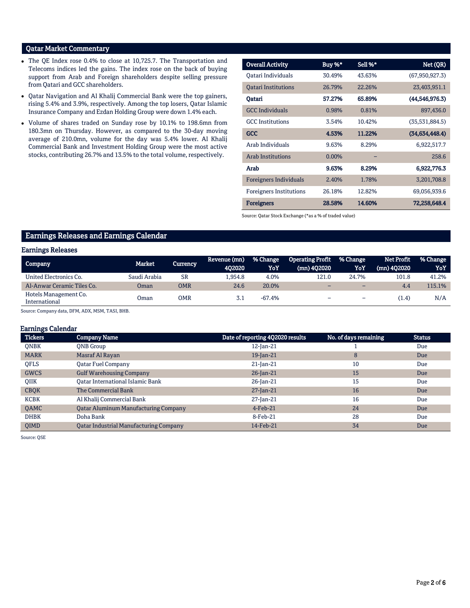# Qatar Market Commentary

- The QE Index rose 0.4% to close at 10,725.7. The Transportation and Telecoms indices led the gains. The index rose on the back of buying support from Arab and Foreign shareholders despite selling pressure from Qatari and GCC shareholders.
- Qatar Navigation and Al Khalij Commercial Bank were the top gainers, rising 5.4% and 3.9%, respectively. Among the top losers, Qatar Islamic Insurance Company and Ezdan Holding Group were down 1.4% each.
- Volume of shares traded on Sunday rose by 10.1% to 198.6mn from 180.3mn on Thursday. However, as compared to the 30-day moving average of 210.0mn, volume for the day was 5.4% lower. Al Khalij Commercial Bank and Investment Holding Group were the most active stocks, contributing 26.7% and 13.5% to the total volume, respectively.

| <b>Overall Activity</b>        | Buy %*   | Sell %* | Net (QR)         |
|--------------------------------|----------|---------|------------------|
| Oatari Individuals             | 30.49%   | 43.63%  | (67,950,927.3)   |
| <b>Oatari Institutions</b>     | 26.79%   | 22.26%  | 23,403,951.1     |
| Oatari                         | 57.27%   | 65.89%  | (44, 546, 976.3) |
| <b>GCC</b> Individuals         | 0.98%    | 0.81%   | 897,436.0        |
| <b>GCC</b> Institutions        | 3.54%    | 10.42%  | (35,531,884.5)   |
| <b>GCC</b>                     | 4.53%    | 11.22%  | (34,634,448.4)   |
| Arab Individuals               | 9.63%    | 8.29%   | 6,922,517.7      |
| <b>Arab Institutions</b>       | $0.00\%$ |         | 258.6            |
| Arab                           | 9.63%    | 8.29%   | 6,922,776.3      |
| <b>Foreigners Individuals</b>  | 2.40%    | 1.78%   | 3,201,708.8      |
| <b>Foreigners Institutions</b> | 26.18%   | 12.82%  | 69,056,939.6     |
| <b>Foreigners</b>              | 28.58%   | 14.60%  | 72,258,648.4     |

Source: Qatar Stock Exchange (\*as a % of traded value)

# Earnings Releases and Earnings Calendar

## Earnings Releases

| Company                                | Market       | <b>Currency</b> | Revenue (mn)<br>402020 | % Change<br>YoY | <b>Operating Profit</b><br>$(mn)$ 402020 | <b>% Change</b><br>YoY   | <b>Net Profit</b><br>$(mn)$ 402020 | % Change<br>YoY |
|----------------------------------------|--------------|-----------------|------------------------|-----------------|------------------------------------------|--------------------------|------------------------------------|-----------------|
| United Electronics Co.                 | Saudi Arabia | SR              | .954.8                 | 4.0%            | 121.0                                    | 24.7%                    | 101.8                              | 41.2%           |
| Al-Anwar Ceramic Tiles Co.             | Oman         | <b>OMR</b>      | 24.6                   | 20.0%           |                                          | $\overline{\phantom{0}}$ | 4.4                                | 115.1%          |
| Hotels Management Co.<br>International | )man         | OMR             | 3.1                    | $-67.4%$        | -                                        | -                        | (1.4)                              | N/A             |

Source: Company data, DFM, ADX, MSM, TASI, BHB.

## Earnings Calendar

| <b>Tickers</b> | <b>Company Name</b>                           | Date of reporting 4Q2020 results | No. of days remaining | <b>Status</b> |
|----------------|-----------------------------------------------|----------------------------------|-----------------------|---------------|
| <b>ONBK</b>    | <b>ONB</b> Group                              | 12-Jan-21                        |                       | Due           |
| <b>MARK</b>    | Masraf Al Rayan                               | $19$ -Jan-21                     | 8                     | Due           |
| <b>OFLS</b>    | <b>Qatar Fuel Company</b>                     | $21$ -Jan-21                     | 10                    | Due           |
| <b>GWCS</b>    | <b>Gulf Warehousing Company</b>               | $26$ -Jan-21                     | 15                    | Due           |
| <b>OIIK</b>    | Oatar International Islamic Bank              | $26$ -Jan-21                     | 15                    | Due           |
| <b>CBQK</b>    | The Commercial Bank                           | $27$ -Jan-21                     | 16                    | Due           |
| <b>KCBK</b>    | Al Khalij Commercial Bank                     | 27-Jan-21                        | 16                    | Due           |
| QAMC           | <b>Qatar Aluminum Manufacturing Company</b>   | $4$ -Feb-21                      | 24                    | Due           |
| <b>DHBK</b>    | Doha Bank                                     | 8-Feb-21                         | 28                    | Due           |
| <b>OIMD</b>    | <b>Qatar Industrial Manufacturing Company</b> | 14-Feb-21                        | 34                    | Due           |

Source: QSE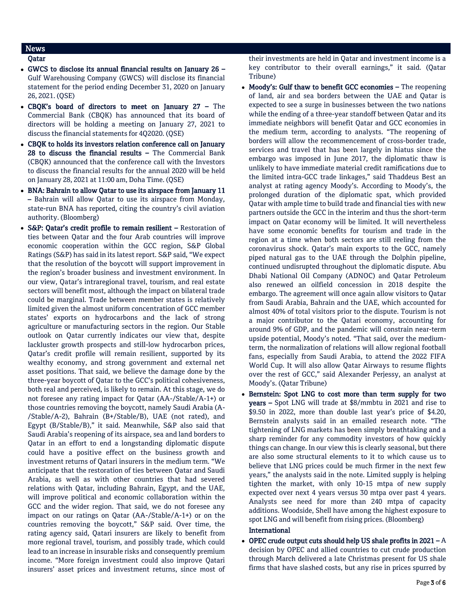# **News**

## Qatar

- GWCS to disclose its annual financial results on January 26 Gulf Warehousing Company (GWCS) will disclose its financial statement for the period ending December 31, 2020 on January 26, 2021. (QSE)
- CBQK's board of directors to meet on January 27 The Commercial Bank (CBQK) has announced that its board of directors will be holding a meeting on January 27, 2021 to discuss the financial statements for 4Q2020. (QSE)
- CBQK to holds its investors relation conference call on January 28 to discuss the financial results  $-$  The Commercial Bank (CBQK) announced that the conference call with the Investors to discuss the financial results for the annual 2020 will be held on January 28, 2021 at 11:00 am, Doha Time. (QSE)
- BNA: Bahrain to allow Qatar to use its airspace from January 11 – Bahrain will allow Qatar to use its airspace from Monday, state-run BNA has reported, citing the country's civil aviation authority. (Bloomberg)
- S&P: Qatar's credit profile to remain resilient Restoration of ties between Qatar and the four Arab countries will improve economic cooperation within the GCC region, S&P Global Ratings (S&P) has said in its latest report. S&P said, "We expect that the resolution of the boycott will support improvement in the region's broader business and investment environment. In our view, Qatar's intraregional travel, tourism, and real estate sectors will benefit most, although the impact on bilateral trade could be marginal. Trade between member states is relatively limited given the almost uniform concentration of GCC member states' exports on hydrocarbons and the lack of strong agriculture or manufacturing sectors in the region. Our Stable outlook on Qatar currently indicates our view that, despite lackluster growth prospects and still-low hydrocarbon prices, Qatar's credit profile will remain resilient, supported by its wealthy economy, and strong government and external net asset positions. That said, we believe the damage done by the three-year boycott of Qatar to the GCC's political cohesiveness, both real and perceived, is likely to remain. At this stage, we do not foresee any rating impact for Qatar (AA-/Stable/A-1+) or those countries removing the boycott, namely Saudi Arabia (A- /Stable/A-2), Bahrain (B+/Stable/B), UAE (not rated), and Egypt (B/Stable/B)," it said. Meanwhile, S&P also said that Saudi Arabia's reopening of its airspace, sea and land borders to Qatar in an effort to end a longstanding diplomatic dispute could have a positive effect on the business growth and investment returns of Qatari insurers in the medium term. "We anticipate that the restoration of ties between Qatar and Saudi Arabia, as well as with other countries that had severed relations with Qatar, including Bahrain, Egypt, and the UAE, will improve political and economic collaboration within the GCC and the wider region. That said, we do not foresee any impact on our ratings on Qatar (AA-/Stable/A-1+) or on the countries removing the boycott," S&P said. Over time, the rating agency said, Qatari insurers are likely to benefit from more regional travel, tourism, and possibly trade, which could lead to an increase in insurable risks and consequently premium income. "More foreign investment could also improve Qatari insurers' asset prices and investment returns, since most of

their investments are held in Qatar and investment income is a key contributor to their overall earnings," it said. (Qatar Tribune)

- Moody's: Gulf thaw to benefit GCC economies The reopening of land, air and sea borders between the UAE and Qatar is expected to see a surge in businesses between the two nations while the ending of a three-year standoff between Qatar and its immediate neighbors will benefit Qatar and GCC economies in the medium term, according to analysts. "The reopening of borders will allow the recommencement of cross-border trade, services and travel that has been largely in hiatus since the embargo was imposed in June 2017, the diplomatic thaw is unlikely to have immediate material credit ramifications due to the limited intra-GCC trade linkages," said Thaddeus Best an analyst at rating agency Moody's. According to Moody's, the prolonged duration of the diplomatic spat, which provided Qatar with ample time to build trade and financial ties with new partners outside the GCC in the interim and thus the short-term impact on Qatar economy will be limited. It will nevertheless have some economic benefits for tourism and trade in the region at a time when both sectors are still reeling from the coronavirus shock. Qatar's main exports to the GCC, namely piped natural gas to the UAE through the Dolphin pipeline, continued undisrupted throughout the diplomatic dispute. Abu Dhabi National Oil Company (ADNOC) and Qatar Petroleum also renewed an oilfield concession in 2018 despite the embargo. The agreement will once again allow visitors to Qatar from Saudi Arabia, Bahrain and the UAE, which accounted for almost 40% of total visitors prior to the dispute. Tourism is not a major contributor to the Qatari economy, accounting for around 9% of GDP, and the pandemic will constrain near-term upside potential, Moody's noted. "That said, over the mediumterm, the normalization of relations will allow regional football fans, especially from Saudi Arabia, to attend the 2022 FIFA World Cup. It will also allow Qatar Airways to resume flights over the rest of GCC," said Alexander Perjessy, an analyst at Moody's. (Qatar Tribune)
- Bernstein: Spot LNG to cost more than term supply for two years – Spot LNG will trade at \$8/mmbtu in 2021 and rise to \$9.50 in 2022, more than double last year's price of \$4.20, Bernstein analysts said in an emailed research note. "The tightening of LNG markets has been simply breathtaking and a sharp reminder for any commodity investors of how quickly things can change. In our view this is clearly seasonal, but there are also some structural elements to it to which cause us to believe that LNG prices could be much firmer in the next few years," the analysts said in the note. Limited supply is helping tighten the market, with only 10-15 mtpa of new supply expected over next 4 years versus 30 mtpa over past 4 years. Analysts see need for more than 240 mtpa of capacity additions. Woodside, Shell have among the highest exposure to spot LNG and will benefit from rising prices. (Bloomberg)

## International

• OPEC crude output cuts should help US shale profits in  $2021 - A$ decision by OPEC and allied countries to cut crude production through March delivered a late Christmas present for US shale firms that have slashed costs, but any rise in prices spurred by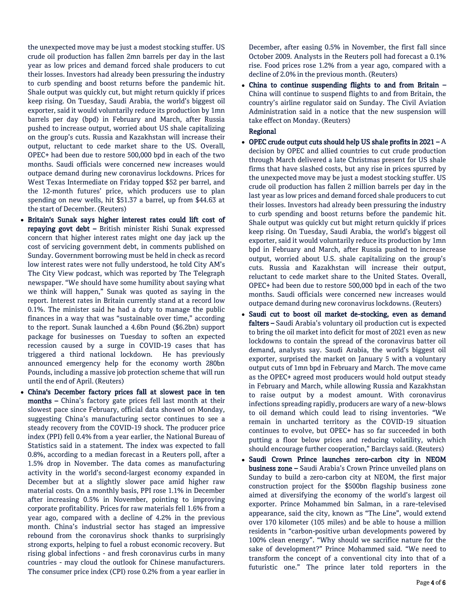the unexpected move may be just a modest stocking stuffer. US crude oil production has fallen 2mn barrels per day in the last year as low prices and demand forced shale producers to cut their losses. Investors had already been pressuring the industry to curb spending and boost returns before the pandemic hit. Shale output was quickly cut, but might return quickly if prices keep rising. On Tuesday, Saudi Arabia, the world's biggest oil exporter, said it would voluntarily reduce its production by 1mn barrels per day (bpd) in February and March, after Russia pushed to increase output, worried about US shale capitalizing on the group's cuts. Russia and Kazakhstan will increase their output, reluctant to cede market share to the US. Overall, OPEC+ had been due to restore 500,000 bpd in each of the two months. Saudi officials were concerned new increases would outpace demand during new coronavirus lockdowns. Prices for West Texas Intermediate on Friday topped \$52 per barrel, and the 12-month futures' price, which producers use to plan spending on new wells, hit \$51.37 a barrel, up from \$44.63 at the start of December. (Reuters)

- Britain's Sunak says higher interest rates could lift cost of repaying govt debt – British minister Rishi Sunak expressed concern that higher interest rates might one day jack up the cost of servicing government debt, in comments published on Sunday. Government borrowing must be held in check as record low interest rates were not fully understood, he told City AM's The City View podcast, which was reported by The Telegraph newspaper. "We should have some humility about saying what we think will happen," Sunak was quoted as saying in the report. Interest rates in Britain currently stand at a record low 0.1%. The minister said he had a duty to manage the public finances in a way that was "sustainable over time," according to the report. Sunak launched a 4.6bn Pound (\$6.2bn) support package for businesses on Tuesday to soften an expected recession caused by a surge in COVID-19 cases that has triggered a third national lockdown. He has previously announced emergency help for the economy worth 280bn Pounds, including a massive job protection scheme that will run until the end of April. (Reuters)
- China's December factory prices fall at slowest pace in ten months – China's factory gate prices fell last month at their slowest pace since February, official data showed on Monday, suggesting China's manufacturing sector continues to see a steady recovery from the COVID-19 shock. The producer price index (PPI) fell 0.4% from a year earlier, the National Bureau of Statistics said in a statement. The index was expected to fall 0.8%, according to a median forecast in a Reuters poll, after a 1.5% drop in November. The data comes as manufacturing activity in the world's second-largest economy expanded in December but at a slightly slower pace amid higher raw material costs. On a monthly basis, PPI rose 1.1% in December after increasing 0.5% in November, pointing to improving corporate profitability. Prices for raw materials fell 1.6% from a year ago, compared with a decline of 4.2% in the previous month. China's industrial sector has staged an impressive rebound from the coronavirus shock thanks to surprisingly strong exports, helping to fuel a robust economic recovery. But rising global infections - and fresh coronavirus curbs in many countries - may cloud the outlook for Chinese manufacturers. The consumer price index (CPI) rose 0.2% from a year earlier in

December, after easing 0.5% in November, the first fall since October 2009. Analysts in the Reuters poll had forecast a 0.1% rise. Food prices rose 1.2% from a year ago, compared with a decline of 2.0% in the previous month. (Reuters)

 China to continue suspending flights to and from Britain – China will continue to suspend flights to and from Britain, the country's airline regulator said on Sunday. The Civil Aviation Administration said in a notice that the new suspension will take effect on Monday. (Reuters)

## Regional

- OPEC crude output cuts should help US shale profits in  $2021 A$ decision by OPEC and allied countries to cut crude production through March delivered a late Christmas present for US shale firms that have slashed costs, but any rise in prices spurred by the unexpected move may be just a modest stocking stuffer. US crude oil production has fallen 2 million barrels per day in the last year as low prices and demand forced shale producers to cut their losses. Investors had already been pressuring the industry to curb spending and boost returns before the pandemic hit. Shale output was quickly cut but might return quickly if prices keep rising. On Tuesday, Saudi Arabia, the world's biggest oil exporter, said it would voluntarily reduce its production by 1mn bpd in February and March, after Russia pushed to increase output, worried about U.S. shale capitalizing on the group's cuts. Russia and Kazakhstan will increase their output, reluctant to cede market share to the United States. Overall, OPEC+ had been due to restore 500,000 bpd in each of the two months. Saudi officials were concerned new increases would outpace demand during new coronavirus lockdowns. (Reuters)
- Saudi cut to boost oil market de-stocking, even as demand falters - Saudi Arabia's voluntary oil production cut is expected to bring the oil market into deficit for most of 2021 even as new lockdowns to contain the spread of the coronavirus batter oil demand, analysts say. Saudi Arabia, the world's biggest oil exporter, surprised the market on January 5 with a voluntary output cuts of 1mn bpd in February and March. The move came as the OPEC+ agreed most producers would hold output steady in February and March, while allowing Russia and Kazakhstan to raise output by a modest amount. With coronavirus infections spreading rapidly, producers are wary of a new-blows to oil demand which could lead to rising inventories. "We remain in uncharted territory as the COVID-19 situation continues to evolve, but OPEC+ has so far succeeded in both putting a floor below prices and reducing volatility, which should encourage further cooperation," Barclays said. (Reuters)
- Saudi Crown Prince launches zero-carbon city in NEOM business zone – Saudi Arabia's Crown Prince unveiled plans on Sunday to build a zero-carbon city at NEOM, the first major construction project for the \$500bn flagship business zone aimed at diversifying the economy of the world's largest oil exporter. Prince Mohammed bin Salman, in a rare-televised appearance, said the city, known as "The Line", would extend over 170 kilometer (105 miles) and be able to house a million residents in "carbon-positive urban developments powered by 100% clean energy". "Why should we sacrifice nature for the sake of development?" Prince Mohammed said. "We need to transform the concept of a conventional city into that of a futuristic one." The prince later told reporters in the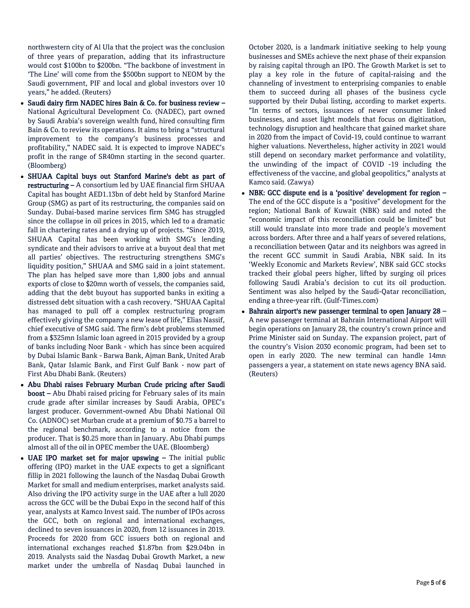northwestern city of Al Ula that the project was the conclusion of three years of preparation, adding that its infrastructure would cost \$100bn to \$200bn. "The backbone of investment in 'The Line' will come from the \$500bn support to NEOM by the Saudi government, PIF and local and global investors over 10 years," he added. (Reuters)

- Saudi dairy firm NADEC hires Bain & Co. for business review National Agricultural Development Co. (NADEC), part owned by Saudi Arabia's sovereign wealth fund, hired consulting firm Bain & Co. to review its operations. It aims to bring a "structural improvement to the company's business processes and profitability," NADEC said. It is expected to improve NADEC's profit in the range of SR40mn starting in the second quarter. (Bloomberg)
- SHUAA Capital buys out Stanford Marine's debt as part of restructuring – A consortium led by UAE financial firm SHUAA Capital has bought AED1.13bn of debt held by Stanford Marine Group (SMG) as part of its restructuring, the companies said on Sunday. Dubai-based marine services firm SMG has struggled since the collapse in oil prices in 2015, which led to a dramatic fall in chartering rates and a drying up of projects. "Since 2019, SHUAA Capital has been working with SMG's lending syndicate and their advisors to arrive at a buyout deal that met all parties' objectives. The restructuring strengthens SMG's liquidity position," SHUAA and SMG said in a joint statement. The plan has helped save more than 1,800 jobs and annual exports of close to \$20mn worth of vessels, the companies said, adding that the debt buyout has supported banks in exiting a distressed debt situation with a cash recovery. "SHUAA Capital has managed to pull off a complex restructuring program effectively giving the company a new lease of life," Elias Nassif, chief executive of SMG said. The firm's debt problems stemmed from a \$325mn Islamic loan agreed in 2015 provided by a group of banks including Noor Bank - which has since been acquired by Dubai Islamic Bank - Barwa Bank, Ajman Bank, United Arab Bank, Qatar Islamic Bank, and First Gulf Bank - now part of First Abu Dhabi Bank. (Reuters)
- Abu Dhabi raises February Murban Crude pricing after Saudi boost – Abu Dhabi raised pricing for February sales of its main crude grade after similar increases by Saudi Arabia, OPEC's largest producer. Government-owned Abu Dhabi National Oil Co. (ADNOC) set Murban crude at a premium of \$0.75 a barrel to the regional benchmark, according to a notice from the producer. That is \$0.25 more than in January. Abu Dhabi pumps almost all of the oil in OPEC member the UAE. (Bloomberg)
- UAE IPO market set for major upswing The initial public offering (IPO) market in the UAE expects to get a significant fillip in 2021 following the launch of the Nasdaq Dubai Growth Market for small and medium enterprises, market analysts said. Also driving the IPO activity surge in the UAE after a lull 2020 across the GCC will be the Dubai Expo in the second half of this year, analysts at Kamco Invest said. The number of IPOs across the GCC, both on regional and international exchanges, declined to seven issuances in 2020, from 12 issuances in 2019. Proceeds for 2020 from GCC issuers both on regional and international exchanges reached \$1.87bn from \$29.04bn in 2019. Analysts said the Nasdaq Dubai Growth Market, a new market under the umbrella of Nasdaq Dubai launched in

October 2020, is a landmark initiative seeking to help young businesses and SMEs achieve the next phase of their expansion by raising capital through an IPO. The Growth Market is set to play a key role in the future of capital-raising and the channeling of investment to enterprising companies to enable them to succeed during all phases of the business cycle supported by their Dubai listing, according to market experts. "In terms of sectors, issuances of newer consumer linked businesses, and asset light models that focus on digitization, technology disruption and healthcare that gained market share in 2020 from the impact of Covid-19, could continue to warrant higher valuations. Nevertheless, higher activity in 2021 would still depend on secondary market performance and volatility, the unwinding of the impact of COVID -19 including the effectiveness of the vaccine, and global geopolitics," analysts at Kamco said. (Zawya)

- NBK: GCC dispute end is a 'positive' development for region The end of the GCC dispute is a "positive" development for the region; National Bank of Kuwait (NBK) said and noted the "economic impact of this reconciliation could be limited" but still would translate into more trade and people's movement across borders. After three and a half years of severed relations, a reconciliation between Qatar and its neighbors was agreed in the recent GCC summit in Saudi Arabia, NBK said. In its 'Weekly Economic and Markets Review', NBK said GCC stocks tracked their global peers higher, lifted by surging oil prices following Saudi Arabia's decision to cut its oil production. Sentiment was also helped by the Saudi-Qatar reconciliation, ending a three-year rift. (Gulf-Times.com)
- Bahrain airport's new passenger terminal to open January 28 A new passenger terminal at Bahrain International Airport will begin operations on January 28, the country's crown prince and Prime Minister said on Sunday. The expansion project, part of the country's Vision 2030 economic program, had been set to open in early 2020. The new terminal can handle 14mn passengers a year, a statement on state news agency BNA said. (Reuters)